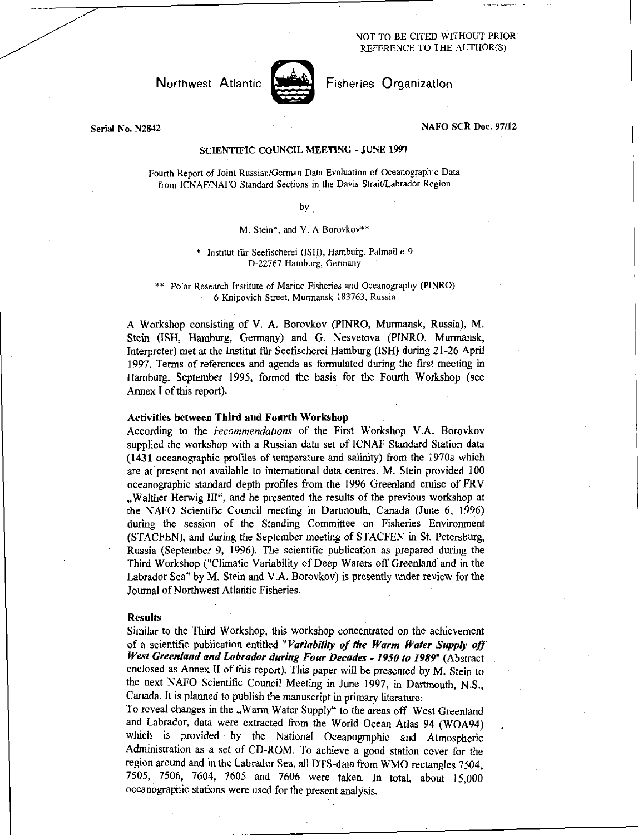### NOT TO BE CITED WITHOUT PRIOR REFERENCE TO THE AUTHOR(S)

# Northwest Atlantic



Fisheries Organization

Serial No. N2842

### NAFO SCR Doc. 97/12

#### SCIENTIFIC COUNCIL MEETING - JUNE 1997

Fourth Report of Joint Russian/German Data Evaluation of Oceanographic Data from ICNAF/NAFO Standard Sections in the Davis Strait/Labrador Region

### by

#### M. Stein\*, and V. A Borovkov\*\*

### \* Institut fur Seefischerei (ISH), Hamburg, Palmaille 9 D-22767 Hamburg, Germany

\*\* Polar Research Institute of Marine Fisheries and Oceanography (PINRO) 6 Knipovich Street, Murmansk 183763, Russia

A Workshop consisting of V. A. Borovkov (PINRO, Murmansk, Russia), M. Stein (ISH, Hamburg, Germany) and G. Nesvetova (PINRO, Murmansk, Interpreter) met at the Institut für Seefischerei Hamburg (ISH) during 21-26 April 1997. Terms of references and agenda as formulated during the first meeting in Hamburg, September 1995, formed the basis for the Fourth Workshop (see Annex I of this report).

### Activities between Third and Fourth Workshop

According to the *recommendations* of the First Workshop V.A. Borovkov supplied the workshop with a Russian data set of ICNAF Standard Station data (1431 oceanographic profiles of temperature and salinity) from the 1970s which are at present not available to international data centres. M. Stein provided 100 oceanographic standard depth profiles from the 1996 Greenland cruise of FRV . Walther Herwig III", and he presented the results of the previous workshop at the NAFO Scientific Council meeting in Dartmouth, Canada (June 6, 1996) during the session of the Standing Committee on Fisheries Environment (STACFEN), and during the September meeting of STACFEN in St. Petersburg, Russia (September 9, 1996). The scientific publication as prepared during the Third Workshop ("Climatic Variability of Deep Waters off Greenland and in the Labrador Sea" by M. Stein and V.A. Borovkov) is presently under review for the Journal of Northwest Atlantic Fisheries.

#### Results

Similar to the Third Workshop, this workshop concentrated on the achievement of a scientific publication entitled *"Variability of the Warm Water Supply off West Greenland and Labrador during Four Decades - 1950 to 1989"* (Abstract enclosed as Annex II of this report). This paper will be presented by M. Stein to the next NAFO Scientific Council Meeting in June 1997, *in* Dartmouth, N.S., Canada. It is planned to publish the manuscript in primary literature.

To reveal changes in the "Warm Water Supply" to the areas off West Greenland and Labrador, data were extracted from the World Ocean Atlas 94 (W0A94) which is provided by the National Oceanographic and Atmospheric Administration as a set of CD-ROM. To achieve a good station cover for the region around and in the Labrador Sea, all DTS-data from WMO rectangles 7504, 7505, 7506, 7604, 7605 and 7606 were taken. In total, about 15,000 oceanographic stations were used for the present analysis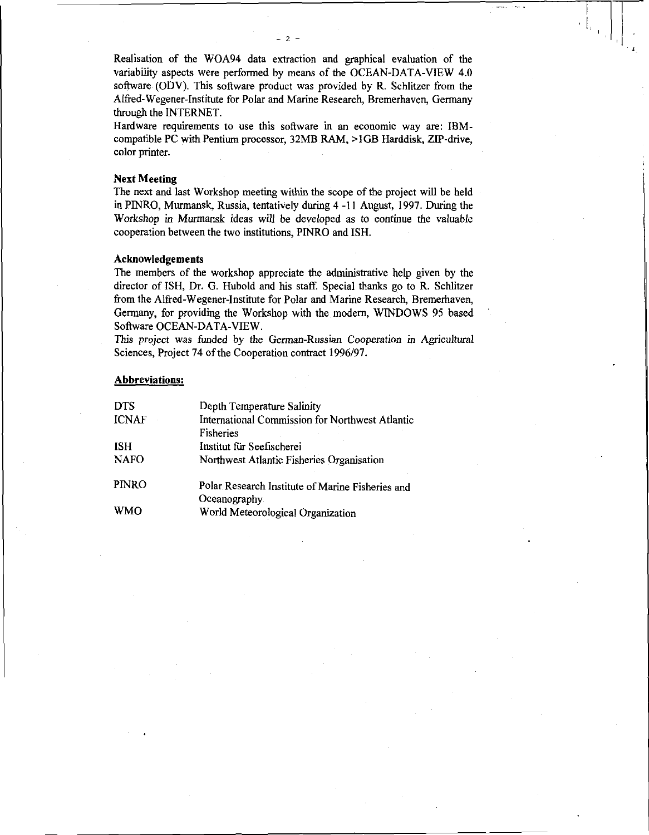Realisation of the W0A94 data extraction and graphical evaluation of the variability aspects were performed by means of the OCEAN-DATA-VIEW 4.0 software (ODV). This software product was provided by R. Schlitzer from the Alfred-Wegener-Institute for Polar and Marine Research, Bremerhaven, Germany through the INTERNET.

Hardware requirements to use this software in an economic way are: IBMcompatible PC with Pentium processor, 32MB RAM, >1GB Harddisk, ZIP-drive, color printer.

### Next Meeting

The next and last Workshop meeting within the scope of the project will be held in PINRO, Murmansk, Russia, tentatively during 4 -11 August, 1997. During the Workshop in Murmansk ideas will be developed as to continue the valuable cooperation between the two institutions, PINRO and ISH.

## Acknowledgements

The members of the workshop appreciate the administrative help given by the director of ISH, Dr. G. Hubold and his staff. Special thanks go to R. Schlitzer from the Alfred-Wegener-Institute for Polar and Marine Research, Bremerhaven, Germany, for providing the Workshop with the modern, WINDOWS 95 based Software OCEAN-DATA-VIEW.

This project was funded by the *German-Russian Cooperation in* Agricultural Sciences, Project 74 of the Cooperation contract 1996/97.

## Abbreviations:

| <b>DTS</b>   | Depth Temperature Salinity                             |
|--------------|--------------------------------------------------------|
| <b>ICNAF</b> | <b>International Commission for Northwest Atlantic</b> |
|              | Fisheries                                              |
| <b>ISH</b>   | Institut für Seefischerei                              |
| <b>NAFO</b>  | Northwest Atlantic Fisheries Organisation              |
| <b>PINRO</b> | Polar Research Institute of Marine Fisheries and       |
|              | Oceanography.                                          |
| <b>WMO</b>   | World Meteorological Organization                      |